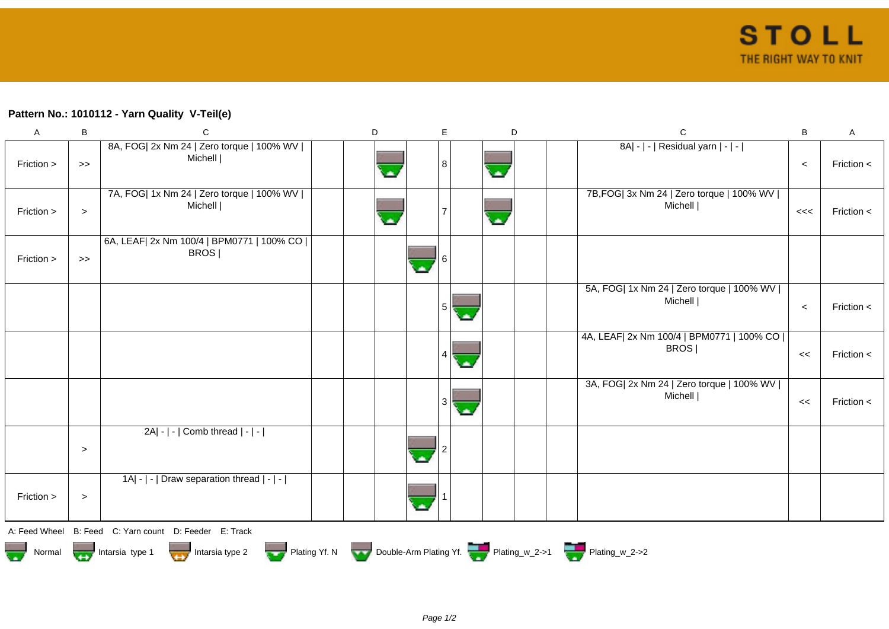## **Pattern No.: 1010112 - Yarn Quality V-Teil(e)**

| $\boldsymbol{\mathsf{A}}$ | $\, {\bf B}$ | $\mathbf C$                                                                                 | D | E | D                        | $\mathbf C$                                             | $\sf B$ | $\mathsf A$  |
|---------------------------|--------------|---------------------------------------------------------------------------------------------|---|---|--------------------------|---------------------------------------------------------|---------|--------------|
| Friction >                | >            | 8A, FOG  2x Nm 24   Zero torque   100% WV  <br>Michell                                      |   | 8 | $\overline{\phantom{a}}$ | 8A  -   -   Residual yarn   -   -                       | $\,<$   | Friction $<$ |
| Friction >                | $\geq$       | 7A, FOG  1x Nm 24   Zero torque   100% WV  <br>Michell                                      |   |   | $\overline{\phantom{a}}$ | 7B, FOG   3x Nm 24   Zero torque   100% WV  <br>Michell | <<      | Friction $<$ |
| Friction >                | >            | 6A, LEAF  2x Nm 100/4   BPM0771   100% CO  <br>BROS                                         |   |   |                          |                                                         |         |              |
|                           |              |                                                                                             |   | 5 |                          | 5A, FOG  1x Nm 24   Zero torque   100% WV  <br>Michell  | $\,<$   | Friction <   |
|                           |              |                                                                                             |   |   |                          | 4A, LEAF  2x Nm 100/4   BPM0771   100% CO  <br>BROS     | <<      | Friction <   |
|                           |              |                                                                                             |   | 3 |                          | 3A, FOG  2x Nm 24   Zero torque   100% WV  <br>Michell  | <<      | Friction <   |
|                           | $\geq$       | $2A - - $ Comb thread $ - - $                                                               |   |   |                          |                                                         |         |              |
| Friction >                | $\geq$       | $ 1A $ - $  \cdot  $ Draw separation thread $  \cdot   \cdot  $                             |   |   |                          |                                                         |         |              |
|                           |              | A: Feed Wheel B: Feed C: Yarn count D: Feeder E: Track                                      |   |   |                          |                                                         |         |              |
|                           |              | Normal <b>Double-Arm Plating Yf. N</b> Double-Arm Plating Yf. N Double-Arm Plating Yf. 2->1 |   |   |                          |                                                         |         |              |